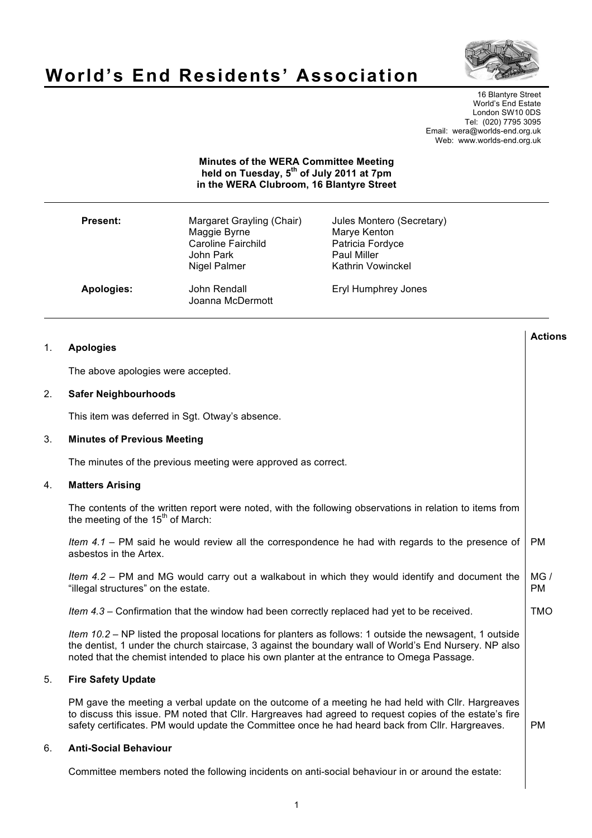

**Actions**

TMO

# **World's End Residents' Association**

16 Blantyre Street World's End Estate London SW10 0DS Tel: (020) 7795 3095 Email: wera@worlds-end.org.uk Web: www.worlds-end.org.uk

## **Minutes of the WERA Committee Meeting held on Tuesday, 5th of July 2011 at 7pm in the WERA Clubroom, 16 Blantyre Street**

| <b>Present:</b> | Margaret Grayling (Chair)<br>Maggie Byrne<br><b>Caroline Fairchild</b><br>John Park<br>Nigel Palmer | Jules Montero (Secretary)<br>Marye Kenton<br>Patricia Fordyce<br><b>Paul Miller</b><br><b>Kathrin Vowinckel</b> |
|-----------------|-----------------------------------------------------------------------------------------------------|-----------------------------------------------------------------------------------------------------------------|
| Apologies:      | John Rendall<br>Joanna McDermott                                                                    | Eryl Humphrey Jones                                                                                             |

|  | <b>Apologies</b> |
|--|------------------|
|  |                  |

The above apologies were accepted.

### 2. **Safer Neighbourhoods**

This item was deferred in Sgt. Otway's absence.

### 3. **Minutes of Previous Meeting**

The minutes of the previous meeting were approved as correct.

### 4. **Matters Arising**

The contents of the written report were noted, with the following observations in relation to items from the meeting of the  $15<sup>th</sup>$  of March:

*Item 4.1* – PM said he would review all the correspondence he had with regards to the presence of asbestos in the Artex. PM

*Item 4.2* – PM and MG would carry out a walkabout in which they would identify and document the "illegal structures" on the estate. MG / PM

*Item 4.3* – Confirmation that the window had been correctly replaced had yet to be received.

*Item 10.2* – NP listed the proposal locations for planters as follows: 1 outside the newsagent, 1 outside the dentist, 1 under the church staircase, 3 against the boundary wall of World's End Nursery. NP also noted that the chemist intended to place his own planter at the entrance to Omega Passage.

## 5. **Fire Safety Update**

PM gave the meeting a verbal update on the outcome of a meeting he had held with Cllr. Hargreaves to discuss this issue. PM noted that Cllr. Hargreaves had agreed to request copies of the estate's fire safety certificates. PM would update the Committee once he had heard back from Cllr. Hargreaves. PM

#### 6. **Anti-Social Behaviour**

Committee members noted the following incidents on anti-social behaviour in or around the estate: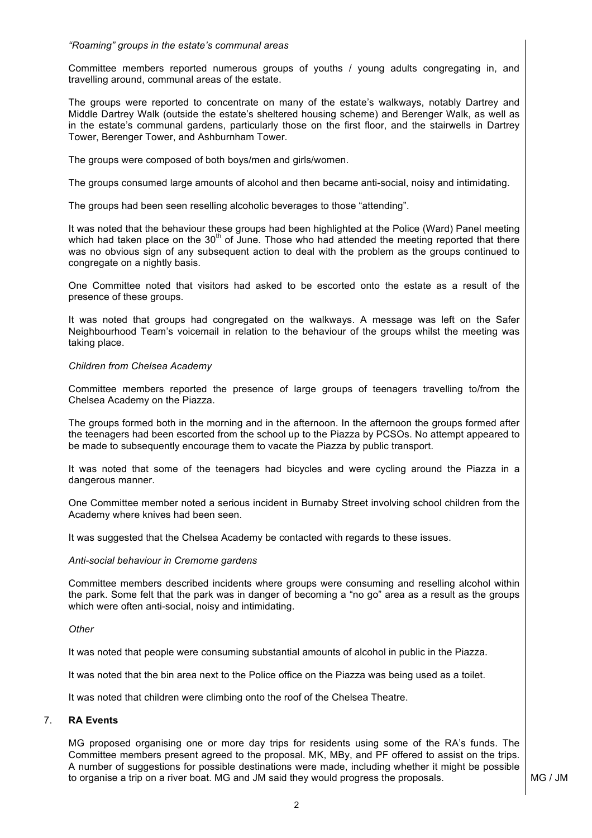### *"Roaming" groups in the estate's communal areas*

Committee members reported numerous groups of youths / young adults congregating in, and travelling around, communal areas of the estate.

The groups were reported to concentrate on many of the estate's walkways, notably Dartrey and Middle Dartrey Walk (outside the estate's sheltered housing scheme) and Berenger Walk, as well as in the estate's communal gardens, particularly those on the first floor, and the stairwells in Dartrey Tower, Berenger Tower, and Ashburnham Tower.

The groups were composed of both boys/men and girls/women.

The groups consumed large amounts of alcohol and then became anti-social, noisy and intimidating.

The groups had been seen reselling alcoholic beverages to those "attending".

It was noted that the behaviour these groups had been highlighted at the Police (Ward) Panel meeting which had taken place on the  $30<sup>th</sup>$  of June. Those who had attended the meeting reported that there was no obvious sign of any subsequent action to deal with the problem as the groups continued to congregate on a nightly basis.

One Committee noted that visitors had asked to be escorted onto the estate as a result of the presence of these groups.

It was noted that groups had congregated on the walkways. A message was left on the Safer Neighbourhood Team's voicemail in relation to the behaviour of the groups whilst the meeting was taking place.

#### *Children from Chelsea Academy*

Committee members reported the presence of large groups of teenagers travelling to/from the Chelsea Academy on the Piazza.

The groups formed both in the morning and in the afternoon. In the afternoon the groups formed after the teenagers had been escorted from the school up to the Piazza by PCSOs. No attempt appeared to be made to subsequently encourage them to vacate the Piazza by public transport.

It was noted that some of the teenagers had bicycles and were cycling around the Piazza in a dangerous manner.

One Committee member noted a serious incident in Burnaby Street involving school children from the Academy where knives had been seen.

It was suggested that the Chelsea Academy be contacted with regards to these issues.

#### *Anti-social behaviour in Cremorne gardens*

Committee members described incidents where groups were consuming and reselling alcohol within the park. Some felt that the park was in danger of becoming a "no go" area as a result as the groups which were often anti-social, noisy and intimidating.

#### *Other*

It was noted that people were consuming substantial amounts of alcohol in public in the Piazza.

It was noted that the bin area next to the Police office on the Piazza was being used as a toilet.

It was noted that children were climbing onto the roof of the Chelsea Theatre.

## 7. **RA Events**

MG proposed organising one or more day trips for residents using some of the RA's funds. The Committee members present agreed to the proposal. MK, MBy, and PF offered to assist on the trips. A number of suggestions for possible destinations were made, including whether it might be possible to organise a trip on a river boat. MG and JM said they would progress the proposals.  $\blacksquare$  MG / JM